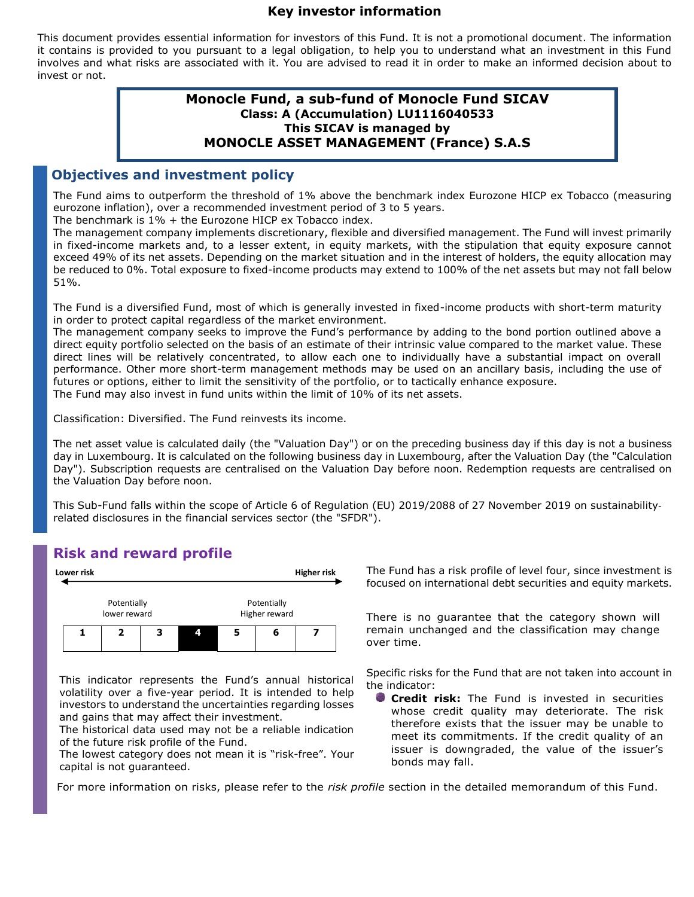#### **Key investor information**

This document provides essential information for investors of this Fund. It is not a promotional document. The information it contains is provided to you pursuant to a legal obligation, to help you to understand what an investment in this Fund involves and what risks are associated with it. You are advised to read it in order to make an informed decision about to invest or not.

#### **Monocle Fund, a sub-fund of Monocle Fund SICAV Class: A (Accumulation) LU1116040533 This SICAV is managed by MONOCLE ASSET MANAGEMENT (France) S.A.S**

#### **Objectives and investment policy**

The Fund aims to outperform the threshold of 1% above the benchmark index Eurozone HICP ex Tobacco (measuring eurozone inflation), over a recommended investment period of 3 to 5 years.

The benchmark is 1% + the Eurozone HICP ex Tobacco index.

The management company implements discretionary, flexible and diversified management. The Fund will invest primarily in fixed-income markets and, to a lesser extent, in equity markets, with the stipulation that equity exposure cannot exceed 49% of its net assets. Depending on the market situation and in the interest of holders, the equity allocation may be reduced to 0%. Total exposure to fixed-income products may extend to 100% of the net assets but may not fall below 51%.

The Fund is a diversified Fund, most of which is generally invested in fixed-income products with short-term maturity in order to protect capital regardless of the market environment.

The management company seeks to improve the Fund's performance by adding to the bond portion outlined above a direct equity portfolio selected on the basis of an estimate of their intrinsic value compared to the market value. These direct lines will be relatively concentrated, to allow each one to individually have a substantial impact on overall performance. Other more short-term management methods may be used on an ancillary basis, including the use of futures or options, either to limit the sensitivity of the portfolio, or to tactically enhance exposure. The Fund may also invest in fund units within the limit of 10% of its net assets.

Classification: Diversified. The Fund reinvests its income.

The net asset value is calculated daily (the "Valuation Day") or on the preceding business day if this day is not a business day in Luxembourg. It is calculated on the following business day in Luxembourg, after the Valuation Day (the "Calculation Day"). Subscription requests are centralised on the Valuation Day before noon. Redemption requests are centralised on the Valuation Day before noon.

This Sub-Fund falls within the scope of Article 6 of Regulation (EU) 2019/2088 of 27 November 2019 on sustainability‐ related disclosures in the financial services sector (the "SFDR").

## **Risk and reward profile**



This indicator represents the Fund's annual historical volatility over a five-year period. It is intended to help investors to understand the uncertainties regarding losses and gains that may affect their investment.

The historical data used may not be a reliable indication of the future risk profile of the Fund.

The lowest category does not mean it is "risk-free". Your capital is not guaranteed.

Lower risk **Higher risk** The Fund has a risk profile of level four, since investment is focused on international debt securities and equity markets.

> Higher reward There is no guarantee that the category shown will remain unchanged and the classification may change over time.

> > Specific risks for the Fund that are not taken into account in the indicator:

**Credit risk:** The Fund is invested in securities whose credit quality may deteriorate. The risk therefore exists that the issuer may be unable to meet its commitments. If the credit quality of an issuer is downgraded, the value of the issuer's bonds may fall.

For more information on risks, please refer to the *risk profile* section in the detailed memorandum of this Fund.